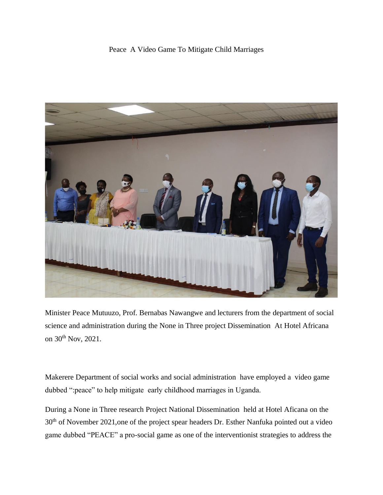## Peace A Video Game To Mitigate Child Marriages



Minister Peace Mutuuzo, Prof. Bernabas Nawangwe and lecturers from the department of social science and administration during the None in Three project Dissemination At Hotel Africana on 30<sup>th</sup> Nov, 2021.

Makerere Department of social works and social administration have employed a video game dubbed ":peace" to help mitigate early childhood marriages in Uganda.

During a None in Three research Project National Dissemination held at Hotel Aficana on the 30<sup>th</sup> of November 2021, one of the project spear headers Dr. Esther Nanfuka pointed out a video game dubbed "PEACE" a pro-social game as one of the interventionist strategies to address the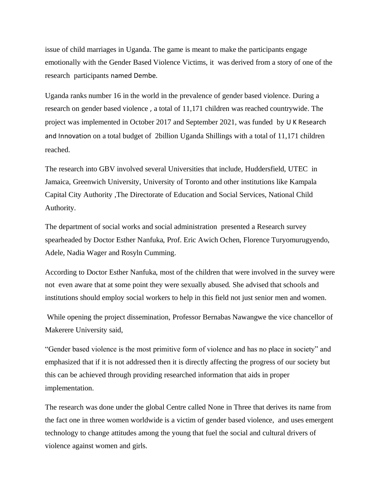issue of child marriages in Uganda. The game is meant to make the participants engage emotionally with the Gender Based Violence Victims, it was derived from a story of one of the research participants named Dembe.

Uganda ranks number 16 in the world in the prevalence of gender based violence. During a research on gender based violence , a total of 11,171 children was reached countrywide. The project was implemented in October 2017 and September 2021, was funded by U K Research and Innovation on a total budget of 2billion Uganda Shillings with a total of 11,171 children reached.

The research into GBV involved several Universities that include, Huddersfield, UTEC in Jamaica, Greenwich University, University of Toronto and other institutions like Kampala Capital City Authority ,The Directorate of Education and Social Services, National Child Authority.

The department of social works and social administration presented a Research survey spearheaded by Doctor Esther Nanfuka, Prof. Eric Awich Ochen, Florence Turyomurugyendo, Adele, Nadia Wager and Rosyln Cumming.

According to Doctor Esther Nanfuka, most of the children that were involved in the survey were not even aware that at some point they were sexually abused. She advised that schools and institutions should employ social workers to help in this field not just senior men and women.

While opening the project dissemination, Professor Bernabas Nawangwe the vice chancellor of Makerere University said,

"Gender based violence is the most primitive form of violence and has no place in society" and emphasized that if it is not addressed then it is directly affecting the progress of our society but this can be achieved through providing researched information that aids in proper implementation.

The research was done under the global Centre called None in Three that derives its name from the fact one in three women worldwide is a victim of gender based violence, and uses emergent technology to change attitudes among the young that fuel the social and cultural drivers of violence against women and girls.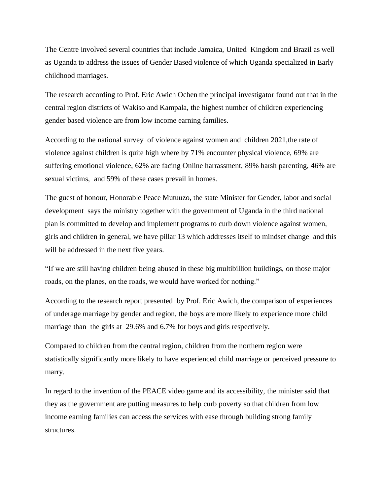The Centre involved several countries that include Jamaica, United Kingdom and Brazil as well as Uganda to address the issues of Gender Based violence of which Uganda specialized in Early childhood marriages.

The research according to Prof. Eric Awich Ochen the principal investigator found out that in the central region districts of Wakiso and Kampala, the highest number of children experiencing gender based violence are from low income earning families.

According to the national survey of violence against women and children 2021, the rate of violence against children is quite high where by 71% encounter physical violence, 69% are suffering emotional violence, 62% are facing Online harrassment, 89% harsh parenting, 46% are sexual victims, and 59% of these cases prevail in homes.

The guest of honour, Honorable Peace Mutuuzo, the state Minister for Gender, labor and social development says the ministry together with the government of Uganda in the third national plan is committed to develop and implement programs to curb down violence against women, girls and children in general, we have pillar 13 which addresses itself to mindset change and this will be addressed in the next five years.

"If we are still having children being abused in these big multibillion buildings, on those major roads, on the planes, on the roads, we would have worked for nothing."

According to the research report presented by Prof. Eric Awich, the comparison of experiences of underage marriage by gender and region, the boys are more likely to experience more child marriage than the girls at 29.6% and 6.7% for boys and girls respectively.

Compared to children from the central region, children from the northern region were statistically significantly more likely to have experienced child marriage or perceived pressure to marry.

In regard to the invention of the PEACE video game and its accessibility, the minister said that they as the government are putting measures to help curb poverty so that children from low income earning families can access the services with ease through building strong family structures.